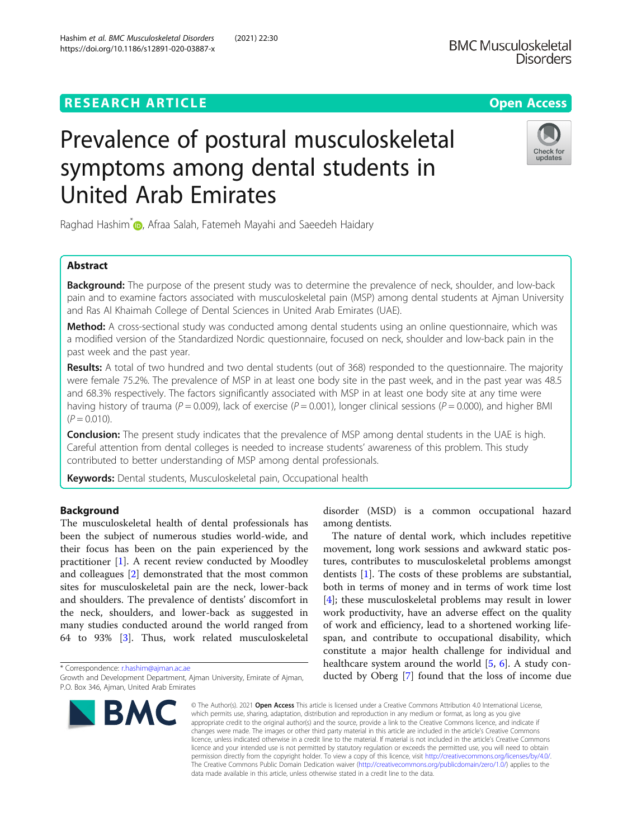# **RESEARCH ARTICLE Example 2014 CONSIDERING A RESEARCH ARTICLE**

# Prevalence of postural musculoskeletal symptoms among dental students in United Arab Emirates

Raghad Hashim<sup>\*</sup> <sub>(D</sub>, Afraa Salah, Fatemeh Mayahi and Saeedeh Haidary

# Abstract

Background: The purpose of the present study was to determine the prevalence of neck, shoulder, and low-back pain and to examine factors associated with musculoskeletal pain (MSP) among dental students at Ajman University and Ras Al Khaimah College of Dental Sciences in United Arab Emirates (UAE).

Method: A cross-sectional study was conducted among dental students using an online questionnaire, which was a modified version of the Standardized Nordic questionnaire, focused on neck, shoulder and low-back pain in the past week and the past year.

Results: A total of two hundred and two dental students (out of 368) responded to the questionnaire. The majority were female 75.2%. The prevalence of MSP in at least one body site in the past week, and in the past year was 48.5 and 68.3% respectively. The factors significantly associated with MSP in at least one body site at any time were having history of trauma ( $P = 0.009$ ), lack of exercise ( $P = 0.001$ ), longer clinical sessions ( $P = 0.000$ ), and higher BMI  $(P = 0.010)$ .

**Conclusion:** The present study indicates that the prevalence of MSP among dental students in the UAE is high. Careful attention from dental colleges is needed to increase students' awareness of this problem. This study contributed to better understanding of MSP among dental professionals.

Keywords: Dental students, Musculoskeletal pain, Occupational health

# Background

The musculoskeletal health of dental professionals has been the subject of numerous studies world-wide, and their focus has been on the pain experienced by the practitioner [\[1](#page-3-0)]. A recent review conducted by Moodley and colleagues [\[2](#page-3-0)] demonstrated that the most common sites for musculoskeletal pain are the neck, lower-back and shoulders. The prevalence of dentists' discomfort in the neck, shoulders, and lower-back as suggested in many studies conducted around the world ranged from 64 to 93% [[3\]](#page-3-0). Thus, work related musculoskeletal

\* Correspondence: [r.hashim@ajman.ac.ae](mailto:r.hashim@ajman.ac.ae)

**BMC** 

disorder (MSD) is a common occupational hazard among dentists.

The nature of dental work, which includes repetitive movement, long work sessions and awkward static postures, contributes to musculoskeletal problems amongst dentists [[1\]](#page-3-0). The costs of these problems are substantial, both in terms of money and in terms of work time lost [[4\]](#page-3-0); these musculoskeletal problems may result in lower work productivity, have an adverse effect on the quality of work and efficiency, lead to a shortened working lifespan, and contribute to occupational disability, which constitute a major health challenge for individual and healthcare system around the world [\[5](#page-3-0), [6\]](#page-4-0). A study conducted by Oberg [\[7](#page-4-0)] found that the loss of income due

© The Author(s), 2021 **Open Access** This article is licensed under a Creative Commons Attribution 4.0 International License, which permits use, sharing, adaptation, distribution and reproduction in any medium or format, as long as you give appropriate credit to the original author(s) and the source, provide a link to the Creative Commons licence, and indicate if changes were made. The images or other third party material in this article are included in the article's Creative Commons licence, unless indicated otherwise in a credit line to the material. If material is not included in the article's Creative Commons licence and your intended use is not permitted by statutory regulation or exceeds the permitted use, you will need to obtain permission directly from the copyright holder. To view a copy of this licence, visit [http://creativecommons.org/licenses/by/4.0/.](http://creativecommons.org/licenses/by/4.0/) The Creative Commons Public Domain Dedication waiver [\(http://creativecommons.org/publicdomain/zero/1.0/](http://creativecommons.org/publicdomain/zero/1.0/)) applies to the data made available in this article, unless otherwise stated in a credit line to the data.

Hashim et al. BMC Musculoskeletal Disorders (2021) 22:30 https://doi.org/10.1186/s12891-020-03887-x





Growth and Development Department, Ajman University, Emirate of Ajman, P.O. Box 346, Ajman, United Arab Emirates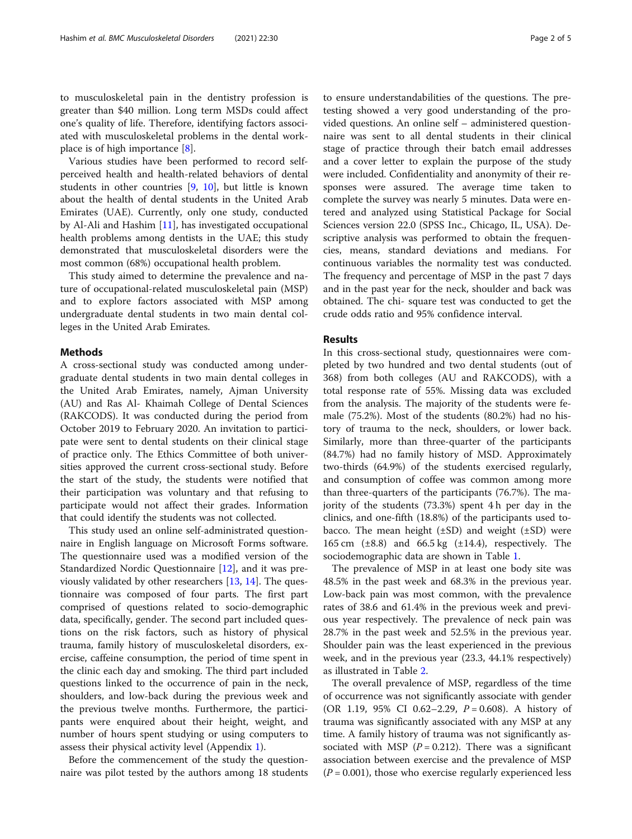to musculoskeletal pain in the dentistry profession is greater than \$40 million. Long term MSDs could affect one's quality of life. Therefore, identifying factors associated with musculoskeletal problems in the dental workplace is of high importance [\[8](#page-4-0)].

Various studies have been performed to record selfperceived health and health-related behaviors of dental students in other countries [[9,](#page-4-0) [10](#page-4-0)], but little is known about the health of dental students in the United Arab Emirates (UAE). Currently, only one study, conducted by Al-Ali and Hashim [[11\]](#page-4-0), has investigated occupational health problems among dentists in the UAE; this study demonstrated that musculoskeletal disorders were the most common (68%) occupational health problem.

This study aimed to determine the prevalence and nature of occupational-related musculoskeletal pain (MSP) and to explore factors associated with MSP among undergraduate dental students in two main dental colleges in the United Arab Emirates.

## Methods

A cross-sectional study was conducted among undergraduate dental students in two main dental colleges in the United Arab Emirates, namely, Ajman University (AU) and Ras Al- Khaimah College of Dental Sciences (RAKCODS). It was conducted during the period from October 2019 to February 2020. An invitation to participate were sent to dental students on their clinical stage of practice only. The Ethics Committee of both universities approved the current cross-sectional study. Before the start of the study, the students were notified that their participation was voluntary and that refusing to participate would not affect their grades. Information that could identify the students was not collected.

This study used an online self-administrated questionnaire in English language on Microsoft Forms software. The questionnaire used was a modified version of the Standardized Nordic Questionnaire [\[12](#page-4-0)], and it was previously validated by other researchers [\[13,](#page-4-0) [14\]](#page-4-0). The questionnaire was composed of four parts. The first part comprised of questions related to socio-demographic data, specifically, gender. The second part included questions on the risk factors, such as history of physical trauma, family history of musculoskeletal disorders, exercise, caffeine consumption, the period of time spent in the clinic each day and smoking. The third part included questions linked to the occurrence of pain in the neck, shoulders, and low-back during the previous week and the previous twelve months. Furthermore, the participants were enquired about their height, weight, and number of hours spent studying or using computers to assess their physical activity level (Appendix [1](#page-3-0)).

Before the commencement of the study the questionnaire was pilot tested by the authors among 18 students to ensure understandabilities of the questions. The pretesting showed a very good understanding of the provided questions. An online self – administered questionnaire was sent to all dental students in their clinical stage of practice through their batch email addresses and a cover letter to explain the purpose of the study were included. Confidentiality and anonymity of their responses were assured. The average time taken to complete the survey was nearly 5 minutes. Data were entered and analyzed using Statistical Package for Social Sciences version 22.0 (SPSS Inc., Chicago, IL, USA). Descriptive analysis was performed to obtain the frequencies, means, standard deviations and medians. For continuous variables the normality test was conducted. The frequency and percentage of MSP in the past 7 days and in the past year for the neck, shoulder and back was obtained. The chi- square test was conducted to get the crude odds ratio and 95% confidence interval.

# Results

In this cross-sectional study, questionnaires were completed by two hundred and two dental students (out of 368) from both colleges (AU and RAKCODS), with a total response rate of 55%. Missing data was excluded from the analysis. The majority of the students were female (75.2%). Most of the students (80.2%) had no history of trauma to the neck, shoulders, or lower back. Similarly, more than three-quarter of the participants (84.7%) had no family history of MSD. Approximately two-thirds (64.9%) of the students exercised regularly, and consumption of coffee was common among more than three-quarters of the participants (76.7%). The majority of the students (73.3%) spent 4 h per day in the clinics, and one-fifth (18.8%) of the participants used tobacco. The mean height  $(\pm SD)$  and weight  $(\pm SD)$  were 165 cm (±8.8) and 66.5 kg (±14.4), respectively. The sociodemographic data are shown in Table [1.](#page-3-0)

The prevalence of MSP in at least one body site was 48.5% in the past week and 68.3% in the previous year. Low-back pain was most common, with the prevalence rates of 38.6 and 61.4% in the previous week and previous year respectively. The prevalence of neck pain was 28.7% in the past week and 52.5% in the previous year. Shoulder pain was the least experienced in the previous week, and in the previous year (23.3, 44.1% respectively) as illustrated in Table [2](#page-3-0).

The overall prevalence of MSP, regardless of the time of occurrence was not significantly associate with gender (OR 1.19, 95% CI 0.62–2.29,  $P = 0.608$ ). A history of trauma was significantly associated with any MSP at any time. A family history of trauma was not significantly associated with MSP ( $P = 0.212$ ). There was a significant association between exercise and the prevalence of MSP  $(P = 0.001)$ , those who exercise regularly experienced less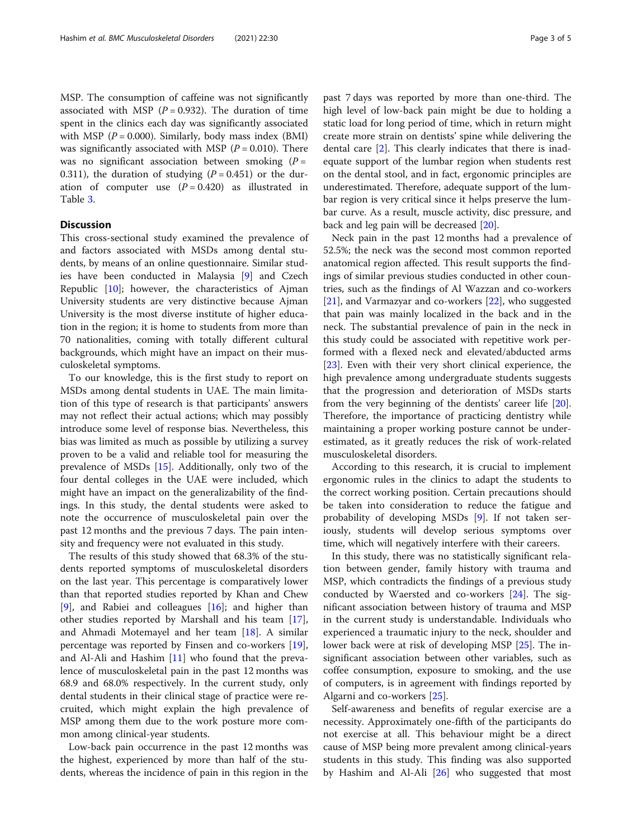MSP. The consumption of caffeine was not significantly associated with MSP ( $P = 0.932$ ). The duration of time spent in the clinics each day was significantly associated with MSP ( $P = 0.000$ ). Similarly, body mass index (BMI) was significantly associated with MSP ( $P = 0.010$ ). There was no significant association between smoking  $(P =$ 0.311), the duration of studying  $(P = 0.451)$  or the duration of computer use  $(P = 0.420)$  as illustrated in Table [3.](#page-3-0)

# **Discussion**

This cross-sectional study examined the prevalence of and factors associated with MSDs among dental students, by means of an online questionnaire. Similar studies have been conducted in Malaysia [\[9](#page-4-0)] and Czech Republic [[10](#page-4-0)]; however, the characteristics of Ajman University students are very distinctive because Ajman University is the most diverse institute of higher education in the region; it is home to students from more than 70 nationalities, coming with totally different cultural backgrounds, which might have an impact on their musculoskeletal symptoms.

To our knowledge, this is the first study to report on MSDs among dental students in UAE. The main limitation of this type of research is that participants' answers may not reflect their actual actions; which may possibly introduce some level of response bias. Nevertheless, this bias was limited as much as possible by utilizing a survey proven to be a valid and reliable tool for measuring the prevalence of MSDs [[15\]](#page-4-0). Additionally, only two of the four dental colleges in the UAE were included, which might have an impact on the generalizability of the findings. In this study, the dental students were asked to note the occurrence of musculoskeletal pain over the past 12 months and the previous 7 days. The pain intensity and frequency were not evaluated in this study.

The results of this study showed that 68.3% of the students reported symptoms of musculoskeletal disorders on the last year. This percentage is comparatively lower than that reported studies reported by Khan and Chew [[9\]](#page-4-0), and Rabiei and colleagues  $[16]$  $[16]$ ; and higher than other studies reported by Marshall and his team [\[17](#page-4-0)], and Ahmadi Motemayel and her team [\[18\]](#page-4-0). A similar percentage was reported by Finsen and co-workers [\[19](#page-4-0)], and Al-Ali and Hashim [\[11](#page-4-0)] who found that the prevalence of musculoskeletal pain in the past 12 months was 68.9 and 68.0% respectively. In the current study, only dental students in their clinical stage of practice were recruited, which might explain the high prevalence of MSP among them due to the work posture more common among clinical-year students.

Low-back pain occurrence in the past 12 months was the highest, experienced by more than half of the students, whereas the incidence of pain in this region in the

past 7 days was reported by more than one-third. The high level of low-back pain might be due to holding a static load for long period of time, which in return might create more strain on dentists' spine while delivering the dental care [\[2](#page-3-0)]. This clearly indicates that there is inadequate support of the lumbar region when students rest on the dental stool, and in fact, ergonomic principles are underestimated. Therefore, adequate support of the lumbar region is very critical since it helps preserve the lumbar curve. As a result, muscle activity, disc pressure, and back and leg pain will be decreased [\[20](#page-4-0)].

Neck pain in the past 12 months had a prevalence of 52.5%; the neck was the second most common reported anatomical region affected. This result supports the findings of similar previous studies conducted in other countries, such as the findings of Al Wazzan and co-workers [[21\]](#page-4-0), and Varmazyar and co-workers [[22\]](#page-4-0), who suggested that pain was mainly localized in the back and in the neck. The substantial prevalence of pain in the neck in this study could be associated with repetitive work performed with a flexed neck and elevated/abducted arms [[23\]](#page-4-0). Even with their very short clinical experience, the high prevalence among undergraduate students suggests that the progression and deterioration of MSDs starts from the very beginning of the dentists' career life [\[20](#page-4-0)]. Therefore, the importance of practicing dentistry while maintaining a proper working posture cannot be underestimated, as it greatly reduces the risk of work-related musculoskeletal disorders.

According to this research, it is crucial to implement ergonomic rules in the clinics to adapt the students to the correct working position. Certain precautions should be taken into consideration to reduce the fatigue and probability of developing MSDs [[9\]](#page-4-0). If not taken seriously, students will develop serious symptoms over time, which will negatively interfere with their careers.

In this study, there was no statistically significant relation between gender, family history with trauma and MSP, which contradicts the findings of a previous study conducted by Waersted and co-workers [\[24\]](#page-4-0). The significant association between history of trauma and MSP in the current study is understandable. Individuals who experienced a traumatic injury to the neck, shoulder and lower back were at risk of developing MSP [\[25\]](#page-4-0). The insignificant association between other variables, such as coffee consumption, exposure to smoking, and the use of computers, is in agreement with findings reported by Algarni and co-workers [[25](#page-4-0)].

Self-awareness and benefits of regular exercise are a necessity. Approximately one-fifth of the participants do not exercise at all. This behaviour might be a direct cause of MSP being more prevalent among clinical-years students in this study. This finding was also supported by Hashim and Al-Ali [[26\]](#page-4-0) who suggested that most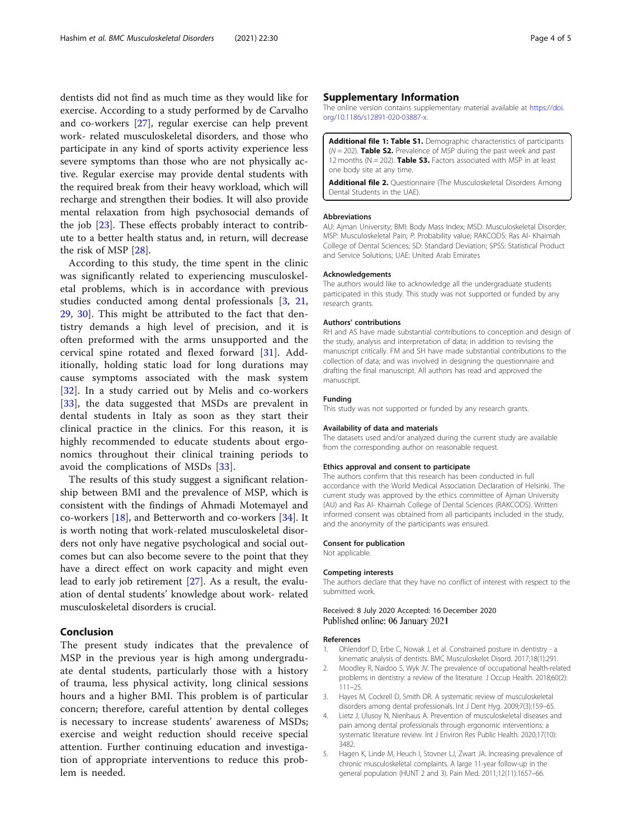<span id="page-3-0"></span>dentists did not find as much time as they would like for exercise. According to a study performed by de Carvalho and co-workers [\[27](#page-4-0)], regular exercise can help prevent work- related musculoskeletal disorders, and those who participate in any kind of sports activity experience less severe symptoms than those who are not physically active. Regular exercise may provide dental students with the required break from their heavy workload, which will recharge and strengthen their bodies. It will also provide mental relaxation from high psychosocial demands of the job [\[23](#page-4-0)]. These effects probably interact to contribute to a better health status and, in return, will decrease the risk of MSP [\[28\]](#page-4-0).

According to this study, the time spent in the clinic was significantly related to experiencing musculoskeletal problems, which is in accordance with previous studies conducted among dental professionals [3, [21](#page-4-0), [29,](#page-4-0) [30\]](#page-4-0). This might be attributed to the fact that dentistry demands a high level of precision, and it is often preformed with the arms unsupported and the cervical spine rotated and flexed forward [\[31](#page-4-0)]. Additionally, holding static load for long durations may cause symptoms associated with the mask system [[32\]](#page-4-0). In a study carried out by Melis and co-workers [[33\]](#page-4-0), the data suggested that MSDs are prevalent in dental students in Italy as soon as they start their clinical practice in the clinics. For this reason, it is highly recommended to educate students about ergonomics throughout their clinical training periods to avoid the complications of MSDs [[33\]](#page-4-0).

The results of this study suggest a significant relationship between BMI and the prevalence of MSP, which is consistent with the findings of Ahmadi Motemayel and co-workers [\[18](#page-4-0)], and Betterworth and co-workers [[34\]](#page-4-0). It is worth noting that work-related musculoskeletal disorders not only have negative psychological and social outcomes but can also become severe to the point that they have a direct effect on work capacity and might even lead to early job retirement [[27\]](#page-4-0). As a result, the evaluation of dental students' knowledge about work- related musculoskeletal disorders is crucial.

## Conclusion

The present study indicates that the prevalence of MSP in the previous year is high among undergraduate dental students, particularly those with a history of trauma, less physical activity, long clinical sessions hours and a higher BMI. This problem is of particular concern; therefore, careful attention by dental colleges is necessary to increase students' awareness of MSDs; exercise and weight reduction should receive special attention. Further continuing education and investigation of appropriate interventions to reduce this problem is needed.

## Supplementary Information

The online version contains supplementary material available at [https://doi.](https://doi.org/10.1186/s12891-020-03887-x) [org/10.1186/s12891-020-03887-x](https://doi.org/10.1186/s12891-020-03887-x).

Additional file 1: Table S1. Demographic characteristics of participants  $(N = 202)$ . Table S2. Prevalence of MSP during the past week and past 12 months ( $N = 202$ ). Table S3. Factors associated with MSP in at least one body site at any time.

Additional file 2. Questionnaire (The Musculoskeletal Disorders Among Dental Students in the UAE).

#### Abbreviations

AU: Ajman University; BMI: Body Mass Index; MSD: Musculoskeletal Disorder; MSP: Musculoskeletal Pain; P: Probability value; RAKCODS: Ras Al- Khaimah College of Dental Sciences; SD: Standard Deviation; SPSS: Statistical Product and Service Solutions; UAE: United Arab Emirates

#### Acknowledgements

The authors would like to acknowledge all the undergraduate students participated in this study. This study was not supported or funded by any research grants.

#### Authors' contributions

RH and AS have made substantial contributions to conception and design of the study, analysis and interpretation of data; in addition to revising the manuscript critically. FM and SH have made substantial contributions to the collection of data; and was involved in designing the questionnaire and drafting the final manuscript. All authors has read and approved the manuscript.

#### Funding

This study was not supported or funded by any research grants.

#### Availability of data and materials

The datasets used and/or analyzed during the current study are available from the corresponding author on reasonable request.

#### Ethics approval and consent to participate

The authors confirm that this research has been conducted in full accordance with the World Medical Association Declaration of Helsinki. The current study was approved by the ethics committee of Ajman University (AU) and Ras Al- Khaimah College of Dental Sciences (RAKCODS). Written informed consent was obtained from all participants included in the study, and the anonymity of the participants was ensured.

#### Consent for publication

Not applicable.

#### Competing interests

The authors declare that they have no conflict of interest with respect to the submitted work.

### Received: 8 July 2020 Accepted: 16 December 2020 Published online: 06 January 2021

#### References

- 1. Ohlendorf D, Erbe C, Nowak J, et al. Constrained posture in dentistry a kinematic analysis of dentists. BMC Musculoskelet Disord. 2017;18(1):291.
- 2. Moodley R, Naidoo S, Wyk JV. The prevalence of occupational health-related problems in dentistry: a review of the literature. J Occup Health. 2018;60(2): 111–25.
- 3. Hayes M, Cockrell D, Smith DR. A systematic review of musculoskeletal disorders among dental professionals. Int J Dent Hyg. 2009;7(3):159–65.
- 4. Lietz J, Ulusoy N, Nienhaus A. Prevention of musculoskeletal diseases and pain among dental professionals through ergonomic interventions: a systematic literature review. Int J Environ Res Public Health. 2020;17(10): 3482.
- 5. Hagen K, Linde M, Heuch I, Stovner LJ, Zwart JA. Increasing prevalence of chronic musculoskeletal complaints. A large 11-year follow-up in the general population (HUNT 2 and 3). Pain Med. 2011;12(11):1657–66.